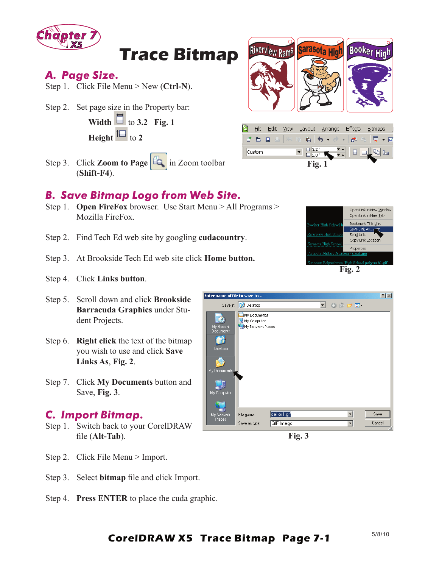

# **Trace Bitmap**

## *A. Page Size.*

Step 1. Click File Menu > New (**Ctrl-N**).

Step 2. Set page size in the Property bar:

**Width**  $\Box$  to 3.2 Fig. 1 **Height**  $\overline{\mathbf{H}}$  to 2

Step 3. Click **Zoom to Page** in Zoom toolbar (**Shift-F4**).

## *B. Save Bitmap Logo from Web Site.*

- Step 1. **Open FireFox** browser. Use Start Menu > All Programs > Mozilla FireFox.
- Step 2. Find Tech Ed web site by googling **cudacountry**.
- Step 3. At Brookside Tech Ed web site click **Home button.**
- Step 4. Click **Links button**.
- Step 5. Scroll down and click **Brookside Barracuda Graphics** under Student Projects.
- Step 6. **Right click** the text of the bitmap you wish to use and click **Save Links As**, **Fig. 2**.
- Step 7. Click **My Documents** button and Save, **Fig. 3**.

#### *C. Import Bitmap.*

- Step 1. Switch back to your CorelDRAW file (Alt-Tab).
- Step 2. Click File Menu > Import.
- Step 3. Select **bitmap** file and click Import.
- Step 4. **Press ENTER** to place the cuda graphic.







**Fig. 3**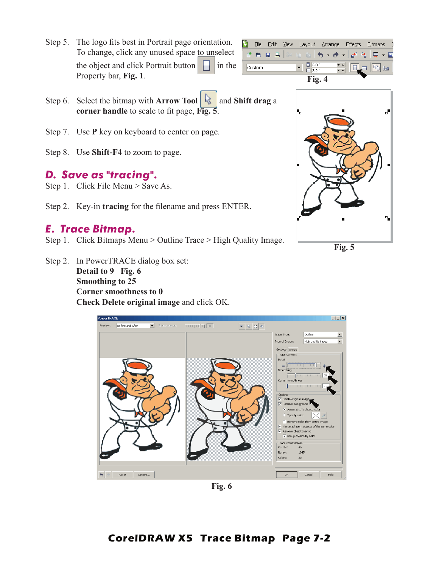Step 5. The logo fits best in Portrait page orientation. To change, click any unused space to unselect the object and click Portrait button in the Property bar, **Fig. 1**.



- Step 6. Select the bitmap with **Arrow Tool** and **Shift drag** a **corner handle** to scale to fit page, **Fig. 5**.
- Step 7. Use **P** key on keyboard to center on page.
- Step 8. Use **Shift-F4** to zoom to page.

## *D. Save as "tracing".*

- Step 1. Click File Menu > Save As.
- Step 2. Key-in **tracing** for the filename and press ENTER.

# *E. Trace Bitmap.*

- Step 1. Click Bitmaps Menu > Outline Trace > High Quality Image.
- Step 2. In PowerTRACE dialog box set: **Detail to 9 Fig. 6 Smoothing to 25 Corner smoothness to 0 Check Delete original image** and click OK.



**Fig. 6**



**Fig. 5**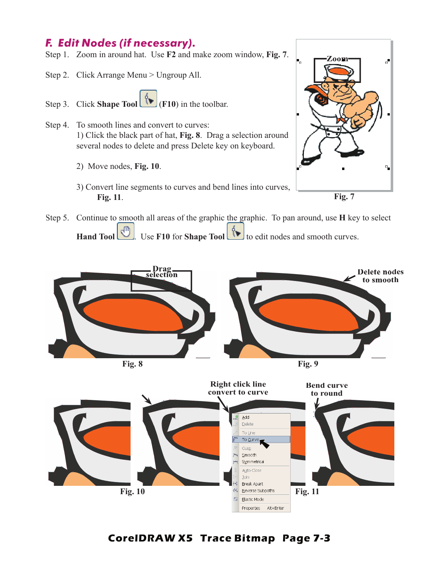# *F. Edit Nodes (if necessary).*

- Step 1. Zoom in around hat. Use **F2** and make zoom window, **Fig. 7**.
- Step 2. Click Arrange Menu > Ungroup All.
- Step 3. Click **Shape Tool** (**F10**) in the toolbar.
- Step 4. To smooth lines and convert to curves: 1) Click the black part of hat, **Fig. 8**. Drag a selection around several nodes to delete and press Delete key on keyboard.
	- 2) Move nodes, **Fig. 10**.
	- 3) Convert line segments to curves and bend lines into curves, **Fig. 11**.



Step 5. Continue to smooth all areas of the graphic the graphic. To pan around, use **H** key to select **Hand Tool** Use **F10** for **Shape Tool Use Tool** to edit nodes and smooth curves.





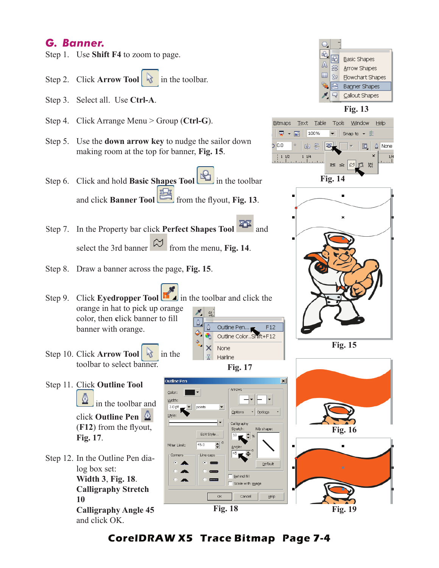## *G. Banner.*

- Step 1. Use **Shift F4** to zoom to page.
- Step 2. Click **Arrow Tool** in the toolbar.
- Step 3. Select all. Use **Ctrl-A**.
- Step 4. Click Arrange Menu > Group (**Ctrl-G**).
- Step 5. Use the **down arrow key** to nudge the sailor down making room at the top for banner, **Fig. 15**.
- Step 6. Click and hold **Basic Shapes Tool** in the toolbar and click **Banner Tool** from the flyout, Fig. 13.
- Step 7. In the Property bar click **Perfect Shapes Tool and** select the 3rd banner from the menu, **Fig. 14**.

utline Per

 $\blacktriangleright$  points

Color

Width:

 $3.0<sub>p1</sub>$ 

Style

Miter Limit:

Corners

- Step 8. Draw a banner across the page, **Fig. 15**.
- Step 9. Click **Eyedropper Tool i**n the toolbar and click the orange in hat to pick up orange color, then **c**lick banner to fill banner with orange.
- Step 10. Click **Arrow Tool** in the toolbar to select banner.
- Step 11. Click **Outline Tool**  in the toolbar and click **Outline Pen**  (F12) from the flyout, **Fig. 17**.
- Step 12. In the Outline Pen dialog box set: **Width 3**, **Fig. 18**. **Calligraphy Stretch 10 Calligraphy Angle 45** and click OK.



Arrows

Options

Calligraphy

Behind fill ile with i<u>m</u>age

Cancel

Stretch:

 $\blacktriangledown$ 

Edit Style...

Line caps

 $\div$ 

 $45.0$ 

╢┙ ⊢ |⊷

 $\bullet$  Options

Nib shape:

Default

Help



**Fig. 13**





**Fig. 15**





**CorelDRAW X5 Trace Bitmap Page 7-4**

 $\overline{\alpha}$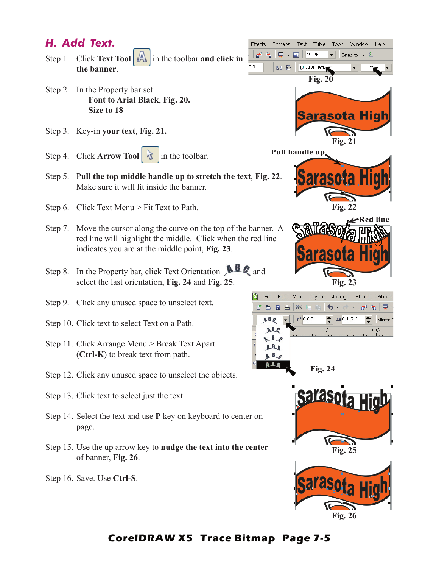# *H. Add Text.*

Step 1. Click **Text Tool** in the toolbar **and click in the banner**.

 $0.0$ 

P.

- Step 2. In the Property bar set: **Font to Arial Black**, **Fig. 20. Size to 18**
- Step 3. Key-in **your text**, **Fig. 21.**
- Step 4. Click **Arrow Tool** in the toolbar.
- Step 5. P**ull the top middle handle up to stretch the text**, **Fig. 22**. Make sure it will fit inside the banner.
- Step 6. Click Text Menu > Fit Text to Path.
- Step 7. Move the cursor along the curve on the top of the banner. A red line will highlight the middle. Click when the red line indicates you are at the middle point, **Fig. 23**.
- Step 8. In the Property bar, click Text Orientation **ALC** and select the last orientation, **Fig. 24** and **Fig. 25**.
- Step 9. Click any unused space to unselect text.
- Step 10. Click text to select Text on a Path.
- Step 11. Click Arrange Menu > Break Text Apart (**Ctrl-K**) to break text from path.
- Step 12. Click any unused space to unselect the objects.
- Step 13. Click text to select just the text.
- Step 14. Select the text and use **P** key on keyboard to center on page.
- Step 15. Use the up arrow key to **nudge the text into the center** of banner, **Fig. 26**.

Step 16. Save. Use **Ctrl-S**.